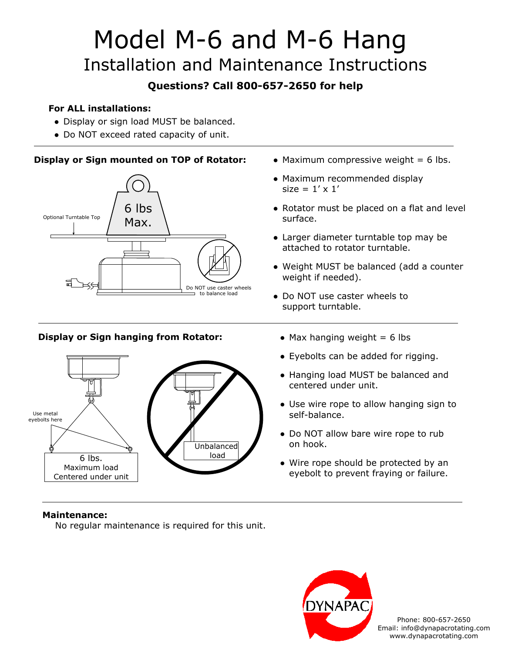# Model M-6 and M-6 Hang Installation and Maintenance Instructions

### **Questions? Call 800-657-2650 for help**

#### **For ALL installations:**

- Display or sign load MUST be balanced.
- Do NOT exceed rated capacity of unit.

#### **Display or Sign mounted on TOP of Rotator:** • Maximum compressive weight = 6 lbs.



#### **Display or Sign hanging from Rotator:** • Max hanging weight = 6 lbs



- 
- Maximum recommended display size =  $1' \times 1'$
- Rotator must be placed on a flat and level surface.
- Larger diameter turntable top may be attached to rotator turntable.
- Weight MUST be balanced (add a counter weight if needed).
- Do NOT use caster wheels to support turntable.
	-
	- Eyebolts can be added for rigging.
	- Hanging load MUST be balanced and centered under unit.
	- Use wire rope to allow hanging sign to self-balance.
	- Do NOT allow bare wire rope to rub on hook.
	- Wire rope should be protected by an eyebolt to prevent fraying or failure.

#### **Maintenance:**

No regular maintenance is required for this unit.



Phone: 800-657-2650 Email: info@dynapacrotating.com www.dynapacrotating.com